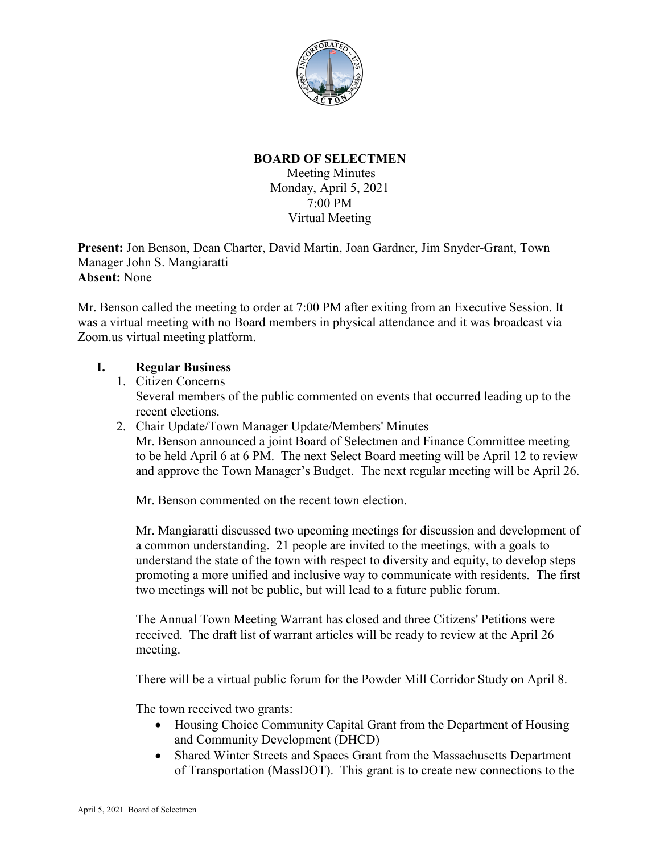

# **BOARD OF SELECTMEN**

Meeting Minutes Monday, April 5, 2021 7:00 PM Virtual Meeting

**Present:** Jon Benson, Dean Charter, David Martin, Joan Gardner, Jim Snyder-Grant, Town Manager John S. Mangiaratti **Absent:** None

Mr. Benson called the meeting to order at 7:00 PM after exiting from an Executive Session. It was a virtual meeting with no Board members in physical attendance and it was broadcast via Zoom.us virtual meeting platform.

#### **I. Regular Business**

- 1. Citizen Concerns Several members of the public commented on events that occurred leading up to the recent elections.
- 2. Chair Update/Town Manager Update/Members' Minutes Mr. Benson announced a joint Board of Selectmen and Finance Committee meeting to be held April 6 at 6 PM. The next Select Board meeting will be April 12 to review and approve the Town Manager's Budget. The next regular meeting will be April 26.

Mr. Benson commented on the recent town election.

Mr. Mangiaratti discussed two upcoming meetings for discussion and development of a common understanding. 21 people are invited to the meetings, with a goals to understand the state of the town with respect to diversity and equity, to develop steps promoting a more unified and inclusive way to communicate with residents. The first two meetings will not be public, but will lead to a future public forum.

The Annual Town Meeting Warrant has closed and three Citizens' Petitions were received. The draft list of warrant articles will be ready to review at the April 26 meeting.

There will be a virtual public forum for the Powder Mill Corridor Study on April 8.

The town received two grants:

- Housing Choice Community Capital Grant from the Department of Housing and Community Development (DHCD)
- Shared Winter Streets and Spaces Grant from the Massachusetts Department of Transportation (MassDOT). This grant is to create new connections to the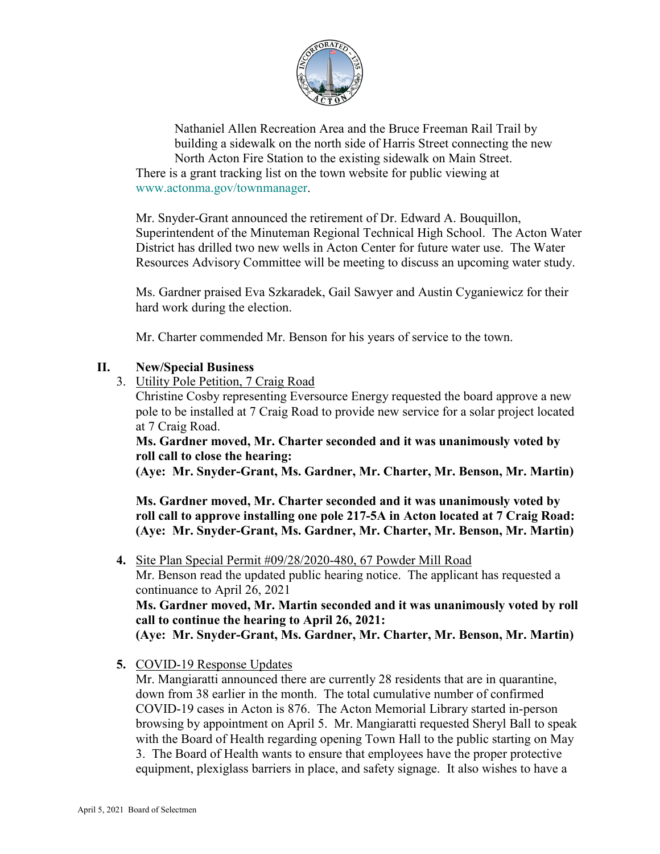

Nathaniel Allen Recreation Area and the Bruce Freeman Rail Trail by building a sidewalk on the north side of Harris Street connecting the new North Acton Fire Station to the existing sidewalk on Main Street. There is a grant tracking list on the town website for public viewing at [www.actonma.gov/townmanager.](http://www.actonma.gov/townmanager)

Mr. Snyder-Grant announced the retirement of Dr. Edward A. Bouquillon, Superintendent of the Minuteman Regional Technical High School. The Acton Water District has drilled two new wells in Acton Center for future water use. The Water Resources Advisory Committee will be meeting to discuss an upcoming water study.

Ms. Gardner praised Eva Szkaradek, Gail Sawyer and Austin Cyganiewicz for their hard work during the election.

Mr. Charter commended Mr. Benson for his years of service to the town.

### **II. New/Special Business**

3. Utility Pole Petition, 7 Craig Road

Christine Cosby representing Eversource Energy requested the board approve a new pole to be installed at 7 Craig Road to provide new service for a solar project located at 7 Craig Road.

**Ms. Gardner moved, Mr. Charter seconded and it was unanimously voted by roll call to close the hearing:**

**(Aye: Mr. Snyder-Grant, Ms. Gardner, Mr. Charter, Mr. Benson, Mr. Martin)**

**Ms. Gardner moved, Mr. Charter seconded and it was unanimously voted by roll call to approve installing one pole 217-5A in Acton located at 7 Craig Road: (Aye: Mr. Snyder-Grant, Ms. Gardner, Mr. Charter, Mr. Benson, Mr. Martin)**

**4.** Site Plan Special Permit #09/28/2020-480, 67 Powder Mill Road

Mr. Benson read the updated public hearing notice. The applicant has requested a continuance to April 26, 2021

**Ms. Gardner moved, Mr. Martin seconded and it was unanimously voted by roll call to continue the hearing to April 26, 2021:**

**(Aye: Mr. Snyder-Grant, Ms. Gardner, Mr. Charter, Mr. Benson, Mr. Martin)**

**5.** COVID-19 Response Updates

Mr. Mangiaratti announced there are currently 28 residents that are in quarantine, down from 38 earlier in the month. The total cumulative number of confirmed COVID-19 cases in Acton is 876. The Acton Memorial Library started in-person browsing by appointment on April 5. Mr. Mangiaratti requested Sheryl Ball to speak with the Board of Health regarding opening Town Hall to the public starting on May 3. The Board of Health wants to ensure that employees have the proper protective equipment, plexiglass barriers in place, and safety signage. It also wishes to have a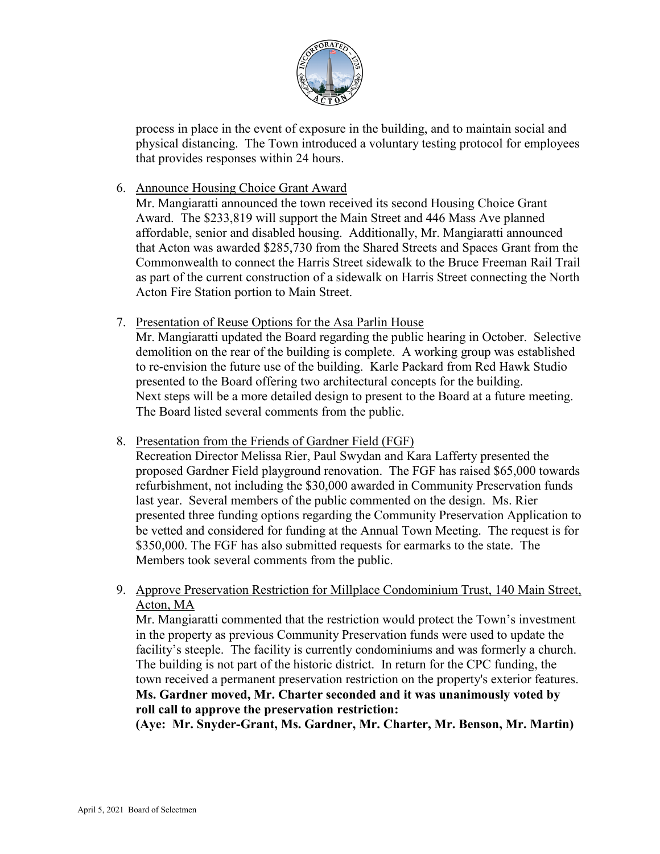

process in place in the event of exposure in the building, and to maintain social and physical distancing. The Town introduced a voluntary testing protocol for employees that provides responses within 24 hours.

### 6. Announce Housing Choice Grant Award

Mr. Mangiaratti announced the town received its second Housing Choice Grant Award. The \$233,819 will support the Main Street and 446 Mass Ave planned affordable, senior and disabled housing. Additionally, Mr. Mangiaratti announced that Acton was awarded \$285,730 from the Shared Streets and Spaces Grant from the Commonwealth to connect the Harris Street sidewalk to the Bruce Freeman Rail Trail as part of the current construction of a sidewalk on Harris Street connecting the North Acton Fire Station portion to Main Street.

7. Presentation of Reuse Options for the Asa Parlin House

Mr. Mangiaratti updated the Board regarding the public hearing in October. Selective demolition on the rear of the building is complete. A working group was established to re-envision the future use of the building. Karle Packard from Red Hawk Studio presented to the Board offering two architectural concepts for the building. Next steps will be a more detailed design to present to the Board at a future meeting. The Board listed several comments from the public.

8. Presentation from the Friends of Gardner Field (FGF)

Recreation Director Melissa Rier, Paul Swydan and Kara Lafferty presented the proposed Gardner Field playground renovation. The FGF has raised \$65,000 towards refurbishment, not including the \$30,000 awarded in Community Preservation funds last year. Several members of the public commented on the design. Ms. Rier presented three funding options regarding the Community Preservation Application to be vetted and considered for funding at the Annual Town Meeting. The request is for \$350,000. The FGF has also submitted requests for earmarks to the state. The Members took several comments from the public.

9. Approve Preservation Restriction for Millplace Condominium Trust, 140 Main Street, Acton, MA

Mr. Mangiaratti commented that the restriction would protect the Town's investment in the property as previous Community Preservation funds were used to update the facility's steeple. The facility is currently condominiums and was formerly a church. The building is not part of the historic district. In return for the CPC funding, the town received a permanent preservation restriction on the property's exterior features. **Ms. Gardner moved, Mr. Charter seconded and it was unanimously voted by** 

#### **roll call to approve the preservation restriction:**

**(Aye: Mr. Snyder-Grant, Ms. Gardner, Mr. Charter, Mr. Benson, Mr. Martin)**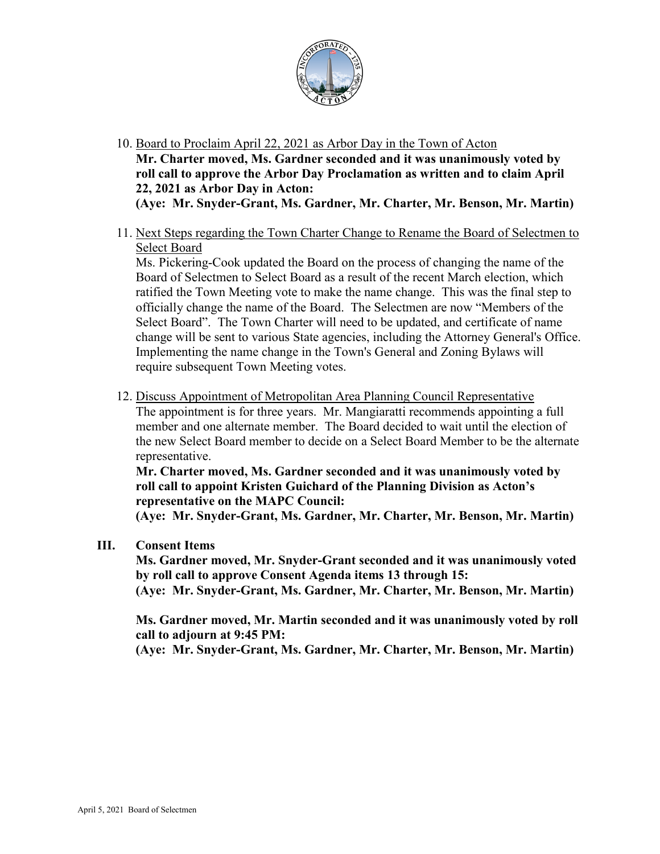

- 10. Board to Proclaim April 22, 2021 as Arbor Day in the Town of Acton **Mr. Charter moved, Ms. Gardner seconded and it was unanimously voted by roll call to approve the Arbor Day Proclamation as written and to claim April 22, 2021 as Arbor Day in Acton: (Aye: Mr. Snyder-Grant, Ms. Gardner, Mr. Charter, Mr. Benson, Mr. Martin)**
- 11. Next Steps regarding the Town Charter Change to Rename the Board of Selectmen to Select Board

Ms. Pickering-Cook updated the Board on the process of changing the name of the Board of Selectmen to Select Board as a result of the recent March election, which ratified the Town Meeting vote to make the name change. This was the final step to officially change the name of the Board. The Selectmen are now "Members of the Select Board". The Town Charter will need to be updated, and certificate of name change will be sent to various State agencies, including the Attorney General's Office. Implementing the name change in the Town's General and Zoning Bylaws will require subsequent Town Meeting votes.

12. Discuss Appointment of Metropolitan Area Planning Council Representative The appointment is for three years. Mr. Mangiaratti recommends appointing a full member and one alternate member. The Board decided to wait until the election of the new Select Board member to decide on a Select Board Member to be the alternate representative.

**Mr. Charter moved, Ms. Gardner seconded and it was unanimously voted by roll call to appoint Kristen Guichard of the Planning Division as Acton's representative on the MAPC Council:**

**(Aye: Mr. Snyder-Grant, Ms. Gardner, Mr. Charter, Mr. Benson, Mr. Martin)**

**III. Consent Items**

**Ms. Gardner moved, Mr. Snyder-Grant seconded and it was unanimously voted by roll call to approve Consent Agenda items 13 through 15: (Aye: Mr. Snyder-Grant, Ms. Gardner, Mr. Charter, Mr. Benson, Mr. Martin)**

**Ms. Gardner moved, Mr. Martin seconded and it was unanimously voted by roll call to adjourn at 9:45 PM:**

**(Aye: Mr. Snyder-Grant, Ms. Gardner, Mr. Charter, Mr. Benson, Mr. Martin)**